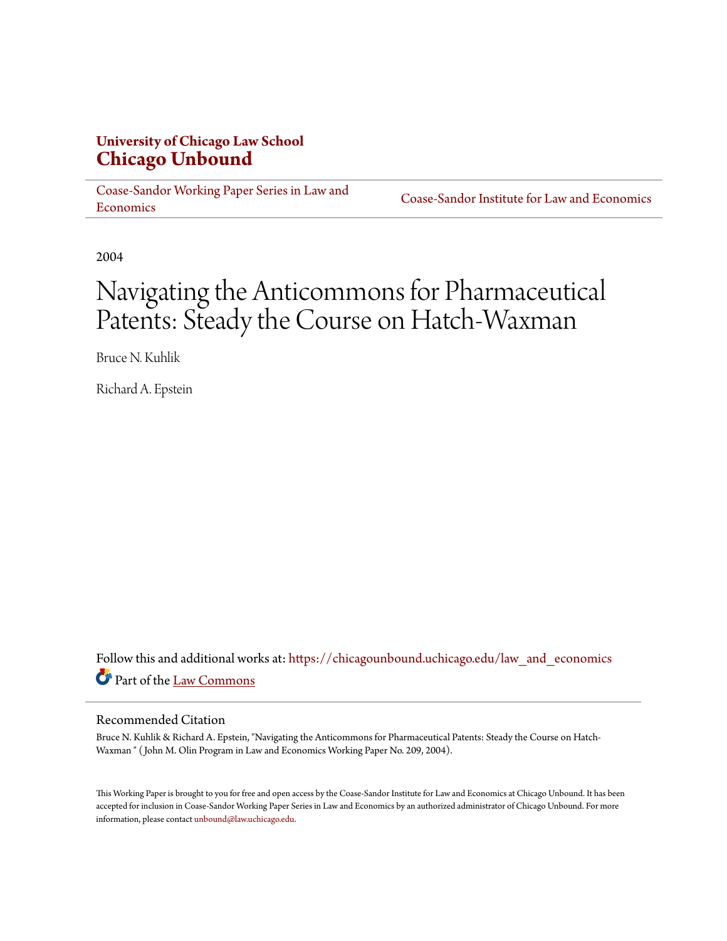#### **University of Chicago Law School [Chicago Unbound](https://chicagounbound.uchicago.edu?utm_source=chicagounbound.uchicago.edu%2Flaw_and_economics%2F331&utm_medium=PDF&utm_campaign=PDFCoverPages)**

[Coase-Sandor Working Paper Series in Law and](https://chicagounbound.uchicago.edu/law_and_economics?utm_source=chicagounbound.uchicago.edu%2Flaw_and_economics%2F331&utm_medium=PDF&utm_campaign=PDFCoverPages) **[Economics](https://chicagounbound.uchicago.edu/law_and_economics?utm_source=chicagounbound.uchicago.edu%2Flaw_and_economics%2F331&utm_medium=PDF&utm_campaign=PDFCoverPages)** 

[Coase-Sandor Institute for Law and Economics](https://chicagounbound.uchicago.edu/coase_sandor_institute?utm_source=chicagounbound.uchicago.edu%2Flaw_and_economics%2F331&utm_medium=PDF&utm_campaign=PDFCoverPages)

2004

## Navigating the Anticommons for Pharmaceutical Patents: Steady the Course on Hatch-Waxman

Bruce N. Kuhlik

Richard A. Epstein

Follow this and additional works at: [https://chicagounbound.uchicago.edu/law\\_and\\_economics](https://chicagounbound.uchicago.edu/law_and_economics?utm_source=chicagounbound.uchicago.edu%2Flaw_and_economics%2F331&utm_medium=PDF&utm_campaign=PDFCoverPages) Part of the [Law Commons](http://network.bepress.com/hgg/discipline/578?utm_source=chicagounbound.uchicago.edu%2Flaw_and_economics%2F331&utm_medium=PDF&utm_campaign=PDFCoverPages)

#### Recommended Citation

Bruce N. Kuhlik & Richard A. Epstein, "Navigating the Anticommons for Pharmaceutical Patents: Steady the Course on Hatch-Waxman " ( John M. Olin Program in Law and Economics Working Paper No. 209, 2004).

This Working Paper is brought to you for free and open access by the Coase-Sandor Institute for Law and Economics at Chicago Unbound. It has been accepted for inclusion in Coase-Sandor Working Paper Series in Law and Economics by an authorized administrator of Chicago Unbound. For more information, please contact [unbound@law.uchicago.edu.](mailto:unbound@law.uchicago.edu)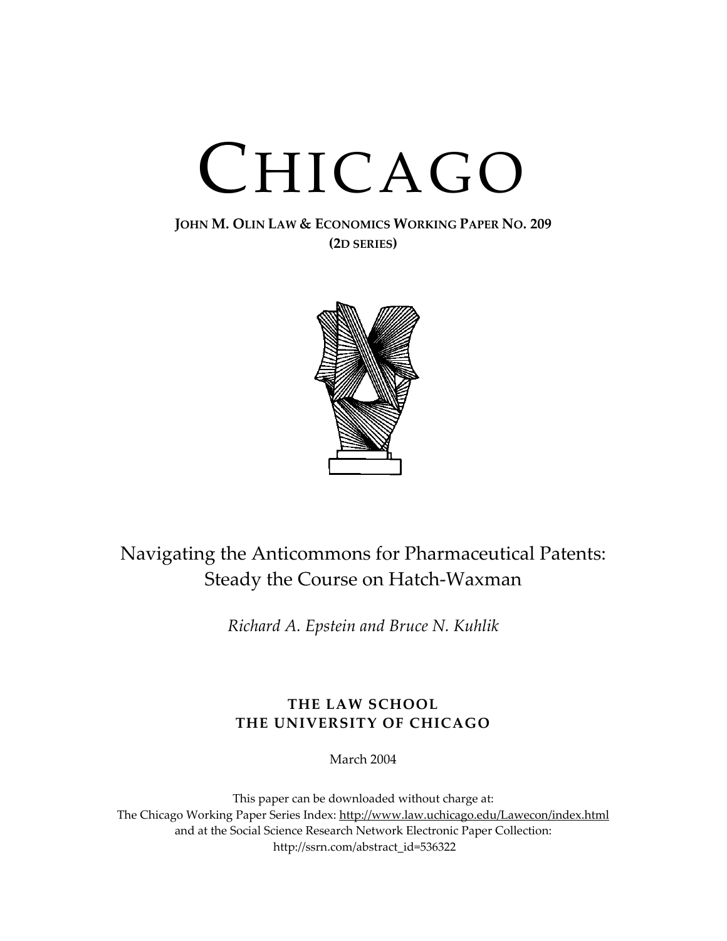# CHICAGO

#### **JOHN M. OLIN LAW & ECONOMICS WORKING PAPER NO. 209 (2D SERIES)**



### Navigating the Anticommons for Pharmaceutical Patents: Steady the Course on Hatch-Waxman

*Richard A. Epstein and Bruce N. Kuhlik*

#### **THE LAW SCHOOL THE UNIVERSITY OF CHICAGO**

March 2004

This paper can be downloaded without charge at: The Chicago Working Paper Series Index: [http://www.law.uchicago.edu/Lawecon/index.html](http://www.law.uchicago.edu/Publications/Working/index.html) and at the Social Science Research Network Electronic Paper Collection: [http://ssrn.com/abstract\\_id=536322](http://papers.ssrn.com/sol3/search.taf)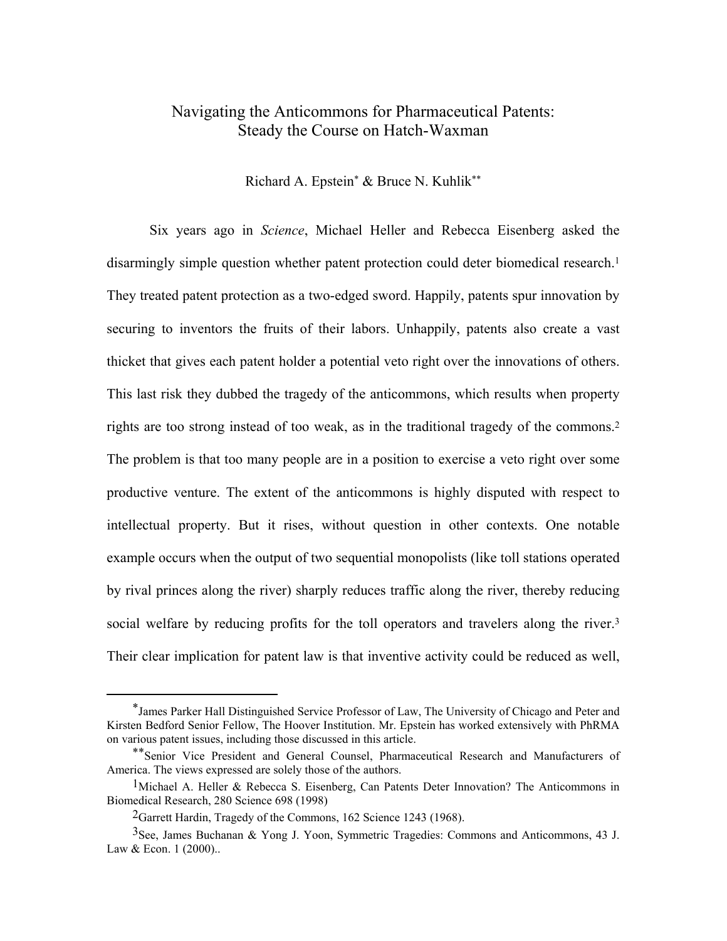#### Navigating the Anticommons for Pharmaceutical Patents: Steady the Course on Hatch-Waxman

Richard A. Epstei[n\\*](#page-2-0) & Bruce N. Kuhli[k\\*\\*](#page-2-1) 

Six years ago in *Science*, Michael Heller and Rebecca Eisenberg asked the disarmingly simple question whether patent protection could deter biomedical research.<sup>[1](#page-2-2)</sup> They treated patent protection as a two-edged sword. Happily, patents spur innovation by securing to inventors the fruits of their labors. Unhappily, patents also create a vast thicket that gives each patent holder a potential veto right over the innovations of others. This last risk they dubbed the tragedy of the anticommons, which results when property rights are too strong instead of too weak, as in the traditional tragedy of the commons[.2](#page-2-3) The problem is that too many people are in a position to exercise a veto right over some productive venture. The extent of the anticommons is highly disputed with respect to intellectual property. But it rises, without question in other contexts. One notable example occurs when the output of two sequential monopolists (like toll stations operated by rival princes along the river) sharply reduces traffic along the river, thereby reducing social welfare by reducing profits for the toll operators and travelers along the river.<sup>[3](#page-2-4)</sup> Their clear implication for patent law is that inventive activity could be reduced as well,

<span id="page-2-0"></span> <sup>\*</sup>James Parker Hall Distinguished Service Professor of Law, The University of Chicago and Peter and Kirsten Bedford Senior Fellow, The Hoover Institution. Mr. Epstein has worked extensively with PhRMA on various patent issues, including those discussed in this article.

<span id="page-2-1"></span><sup>\*\*</sup>Senior Vice President and General Counsel, Pharmaceutical Research and Manufacturers of America. The views expressed are solely those of the authors.

<span id="page-2-2"></span><sup>1</sup>Michael A. Heller & Rebecca S. Eisenberg, Can Patents Deter Innovation? The Anticommons in Biomedical Research, 280 Science 698 (1998)

<span id="page-2-4"></span><span id="page-2-3"></span><sup>2</sup>Garrett Hardin, Tragedy of the Commons, 162 Science 1243 (1968).

<sup>3</sup>See, James Buchanan & Yong J. Yoon, Symmetric Tragedies: Commons and Anticommons, 43 J. Law & Econ. 1 (2000)...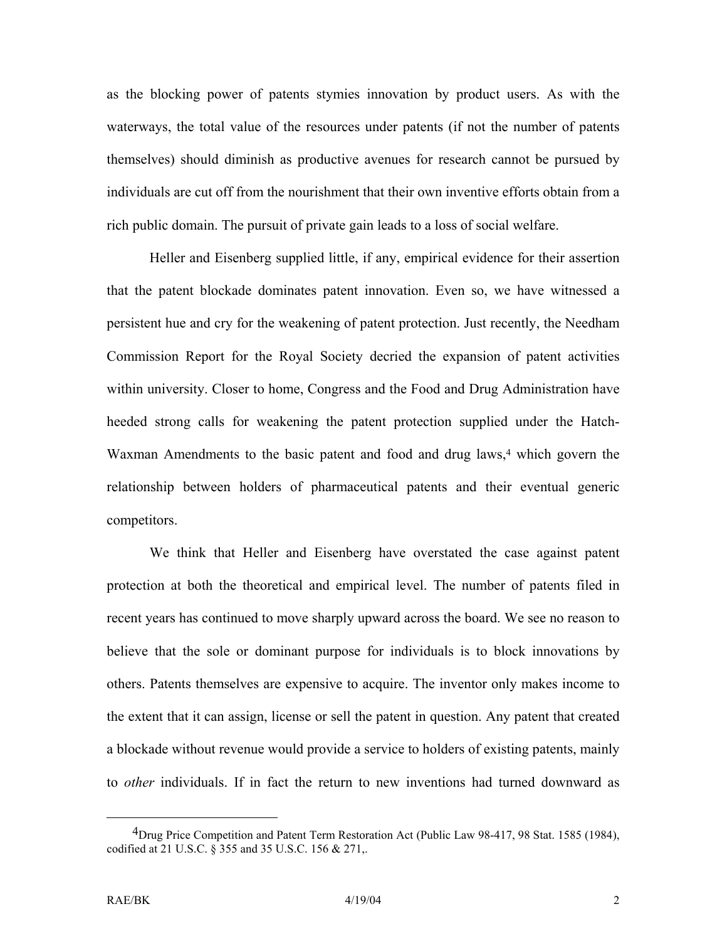as the blocking power of patents stymies innovation by product users. As with the waterways, the total value of the resources under patents (if not the number of patents themselves) should diminish as productive avenues for research cannot be pursued by individuals are cut off from the nourishment that their own inventive efforts obtain from a rich public domain. The pursuit of private gain leads to a loss of social welfare.

Heller and Eisenberg supplied little, if any, empirical evidence for their assertion that the patent blockade dominates patent innovation. Even so, we have witnessed a persistent hue and cry for the weakening of patent protection. Just recently, the Needham Commission Report for the Royal Society decried the expansion of patent activities within university. Closer to home, Congress and the Food and Drug Administration have heeded strong calls for weakening the patent protection supplied under the Hatch-Waxman Amendments to the basic patent and food and drug laws,<sup>4</sup> which govern the relationship between holders of pharmaceutical patents and their eventual generic competitors.

We think that Heller and Eisenberg have overstated the case against patent protection at both the theoretical and empirical level. The number of patents filed in recent years has continued to move sharply upward across the board. We see no reason to believe that the sole or dominant purpose for individuals is to block innovations by others. Patents themselves are expensive to acquire. The inventor only makes income to the extent that it can assign, license or sell the patent in question. Any patent that created a blockade without revenue would provide a service to holders of existing patents, mainly to *other* individuals. If in fact the return to new inventions had turned downward as

<span id="page-3-0"></span><sup>&</sup>lt;sup>4</sup>Drug Price Competition and Patent Term Restoration Act (Public Law 98-417, 98 Stat. 1585 (1984), codified at 21 U.S.C. § 355 and 35 U.S.C. 156 & 271,.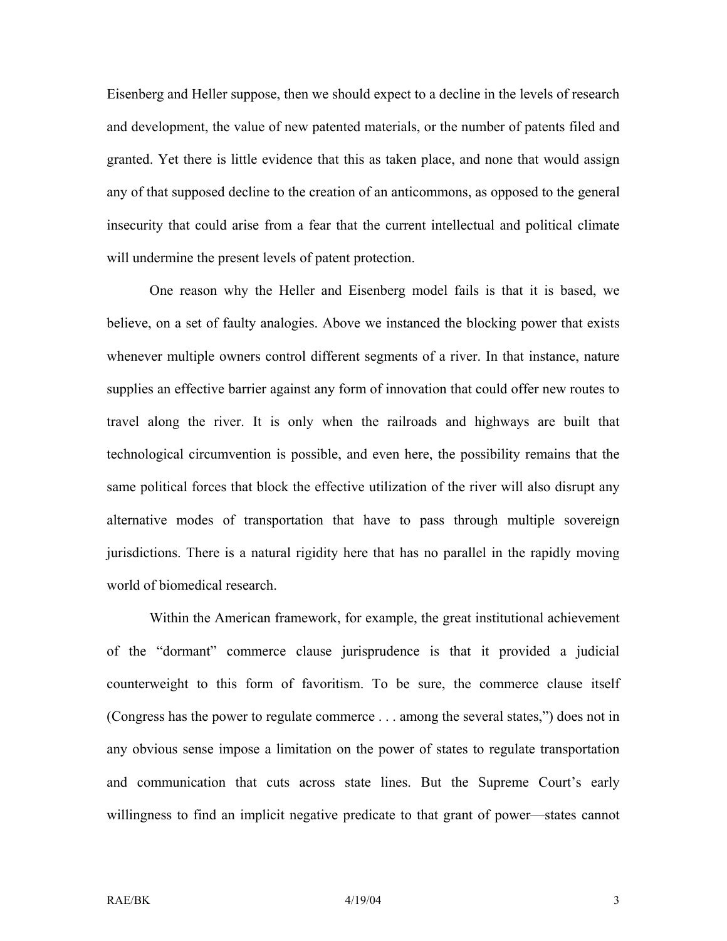Eisenberg and Heller suppose, then we should expect to a decline in the levels of research and development, the value of new patented materials, or the number of patents filed and granted. Yet there is little evidence that this as taken place, and none that would assign any of that supposed decline to the creation of an anticommons, as opposed to the general insecurity that could arise from a fear that the current intellectual and political climate will undermine the present levels of patent protection.

One reason why the Heller and Eisenberg model fails is that it is based, we believe, on a set of faulty analogies. Above we instanced the blocking power that exists whenever multiple owners control different segments of a river. In that instance, nature supplies an effective barrier against any form of innovation that could offer new routes to travel along the river. It is only when the railroads and highways are built that technological circumvention is possible, and even here, the possibility remains that the same political forces that block the effective utilization of the river will also disrupt any alternative modes of transportation that have to pass through multiple sovereign jurisdictions. There is a natural rigidity here that has no parallel in the rapidly moving world of biomedical research.

Within the American framework, for example, the great institutional achievement of the "dormant" commerce clause jurisprudence is that it provided a judicial counterweight to this form of favoritism. To be sure, the commerce clause itself (Congress has the power to regulate commerce . . . among the several states,") does not in any obvious sense impose a limitation on the power of states to regulate transportation and communication that cuts across state lines. But the Supreme Court's early willingness to find an implicit negative predicate to that grant of power—states cannot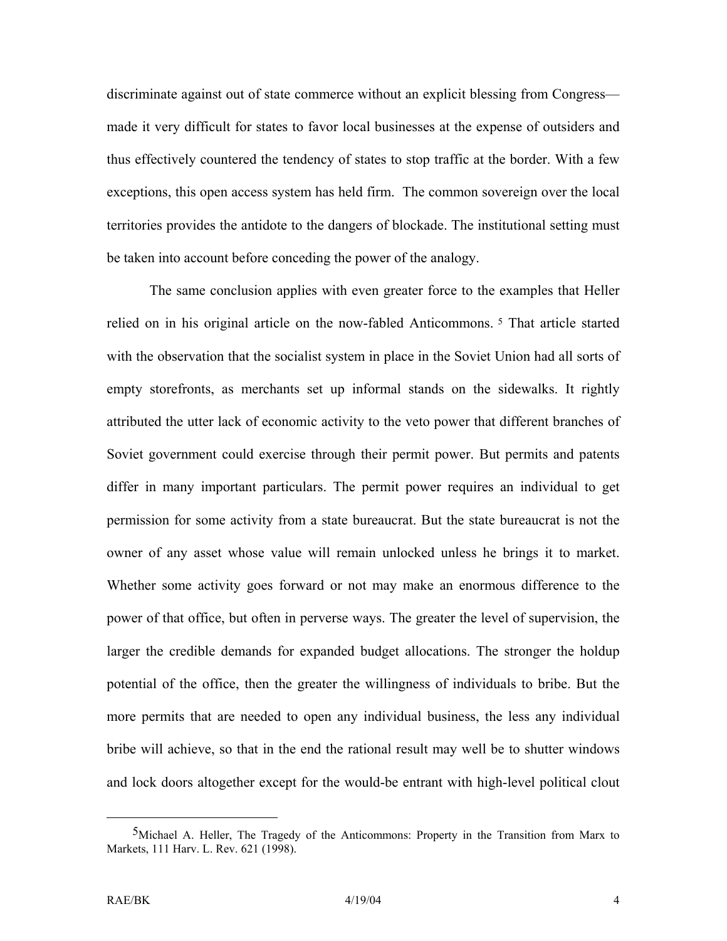discriminate against out of state commerce without an explicit blessing from Congress made it very difficult for states to favor local businesses at the expense of outsiders and thus effectively countered the tendency of states to stop traffic at the border. With a few exceptions, this open access system has held firm. The common sovereign over the local territories provides the antidote to the dangers of blockade. The institutional setting must be taken into account before conceding the power of the analogy.

The same conclusion applies with even greater force to the examples that Heller relied on in his original article on the now-fabled Anticommons. [5](#page-5-0) That article started with the observation that the socialist system in place in the Soviet Union had all sorts of empty storefronts, as merchants set up informal stands on the sidewalks. It rightly attributed the utter lack of economic activity to the veto power that different branches of Soviet government could exercise through their permit power. But permits and patents differ in many important particulars. The permit power requires an individual to get permission for some activity from a state bureaucrat. But the state bureaucrat is not the owner of any asset whose value will remain unlocked unless he brings it to market. Whether some activity goes forward or not may make an enormous difference to the power of that office, but often in perverse ways. The greater the level of supervision, the larger the credible demands for expanded budget allocations. The stronger the holdup potential of the office, then the greater the willingness of individuals to bribe. But the more permits that are needed to open any individual business, the less any individual bribe will achieve, so that in the end the rational result may well be to shutter windows and lock doors altogether except for the would-be entrant with high-level political clout

<span id="page-5-0"></span> <sup>5</sup>Michael A. Heller, The Tragedy of the Anticommons: Property in the Transition from Marx to Markets, 111 Harv. L. Rev. 621 (1998).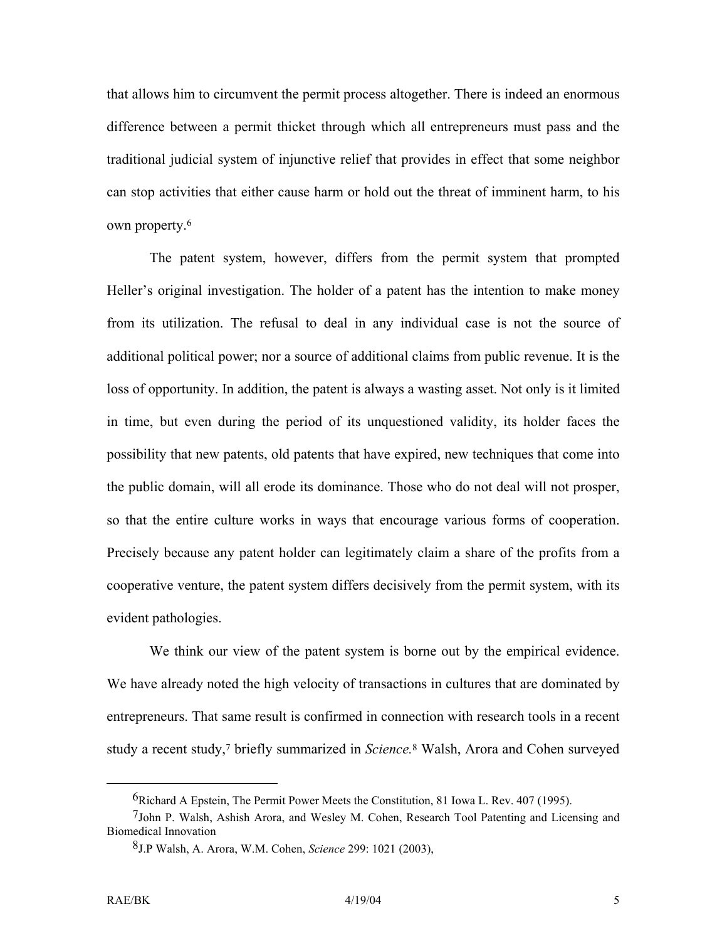that allows him to circumvent the permit process altogether. There is indeed an enormous difference between a permit thicket through which all entrepreneurs must pass and the traditional judicial system of injunctive relief that provides in effect that some neighbor can stop activities that either cause harm or hold out the threat of imminent harm, to his own property.[6](#page-6-0) 

The patent system, however, differs from the permit system that prompted Heller's original investigation. The holder of a patent has the intention to make money from its utilization. The refusal to deal in any individual case is not the source of additional political power; nor a source of additional claims from public revenue. It is the loss of opportunity. In addition, the patent is always a wasting asset. Not only is it limited in time, but even during the period of its unquestioned validity, its holder faces the possibility that new patents, old patents that have expired, new techniques that come into the public domain, will all erode its dominance. Those who do not deal will not prosper, so that the entire culture works in ways that encourage various forms of cooperation. Precisely because any patent holder can legitimately claim a share of the profits from a cooperative venture, the patent system differs decisively from the permit system, with its evident pathologies.

We think our view of the patent system is borne out by the empirical evidence. We have already noted the high velocity of transactions in cultures that are dominated by entrepreneurs. That same result is confirmed in connection with research tools in a recent study a recent study[,7](#page-6-1) briefly summarized in *Science.*[8 W](#page-6-2)alsh, Arora and Cohen surveyed

<span id="page-6-1"></span><span id="page-6-0"></span> <sup>6</sup>Richard A Epstein, The Permit Power Meets the Constitution, 81 Iowa L. Rev. 407 (1995).

<sup>7</sup>John P. Walsh, Ashish Arora, and Wesley M. Cohen, Research Tool Patenting and Licensing and Biomedical Innovation

<span id="page-6-2"></span><sup>8</sup>J.P Walsh, A. Arora, W.M. Cohen, *Science* 299: 1021 (2003),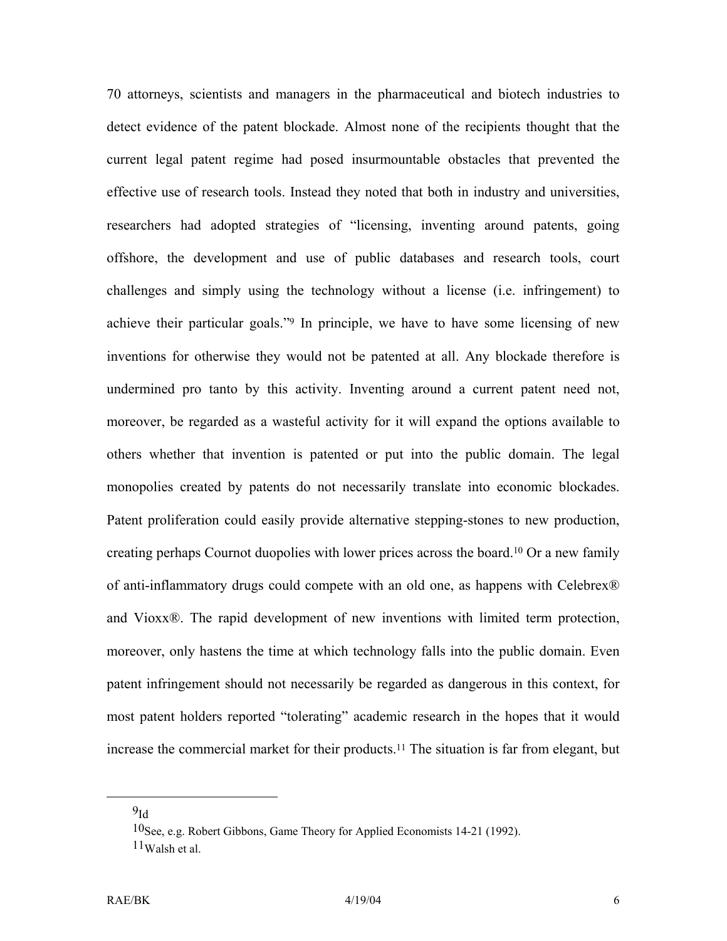70 attorneys, scientists and managers in the pharmaceutical and biotech industries to detect evidence of the patent blockade. Almost none of the recipients thought that the current legal patent regime had posed insurmountable obstacles that prevented the effective use of research tools. Instead they noted that both in industry and universities, researchers had adopted strategies of "licensing, inventing around patents, going offshore, the development and use of public databases and research tools, court challenges and simply using the technology without a license (i.e. infringement) to achieve their particular goals."[9](#page-7-0) In principle, we have to have some licensing of new inventions for otherwise they would not be patented at all. Any blockade therefore is undermined pro tanto by this activity. Inventing around a current patent need not, moreover, be regarded as a wasteful activity for it will expand the options available to others whether that invention is patented or put into the public domain. The legal monopolies created by patents do not necessarily translate into economic blockades. Patent proliferation could easily provide alternative stepping-stones to new production, creating perhaps Cournot duopolies with lower prices across the board.[10 O](#page-7-1)r a new family of anti-inflammatory drugs could compete with an old one, as happens with Celebrex® and Vioxx®. The rapid development of new inventions with limited term protection, moreover, only hastens the time at which technology falls into the public domain. Even patent infringement should not necessarily be regarded as dangerous in this context, for most patent holders reported "tolerating" academic research in the hopes that it would increase the commercial market for their products[.11](#page-7-2) The situation is far from elegant, but

<span id="page-7-0"></span> $9<sub>Id</sub>$ 

<span id="page-7-2"></span><span id="page-7-1"></span><sup>10</sup>See, e.g. Robert Gibbons, Game Theory for Applied Economists 14-21 (1992).  $11$ Walsh et al.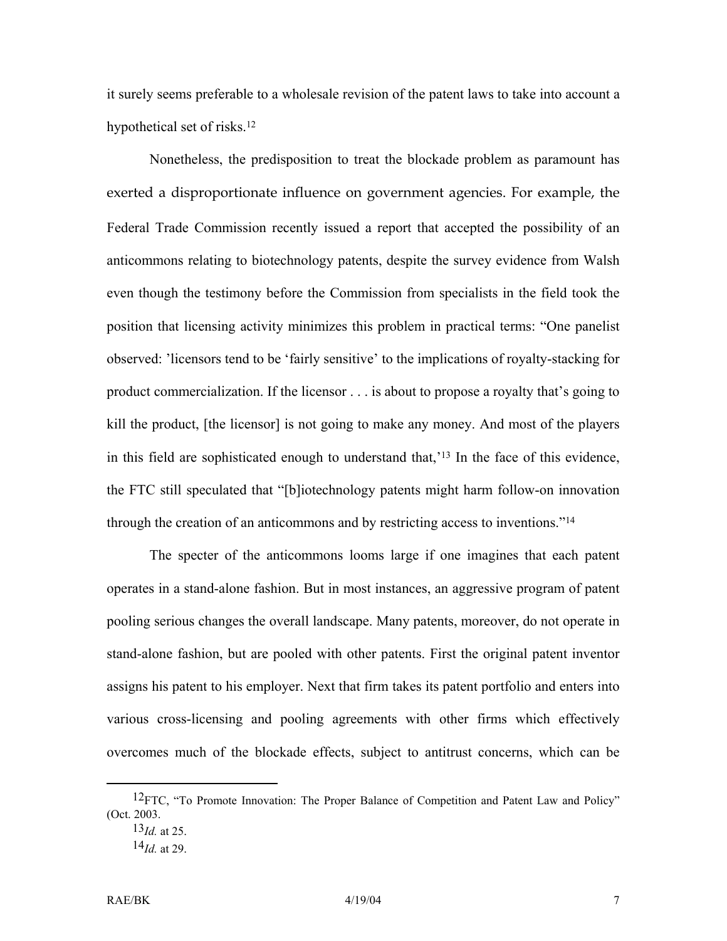it surely seems preferable to a wholesale revision of the patent laws to take into account a hypothetical set of risks.[12](#page-8-0) 

Nonetheless, the predisposition to treat the blockade problem as paramount has exerted a disproportionate influence on government agencies. For example, the Federal Trade Commission recently issued a report that accepted the possibility of an anticommons relating to biotechnology patents, despite the survey evidence from Walsh even though the testimony before the Commission from specialists in the field took the position that licensing activity minimizes this problem in practical terms: "One panelist observed: 'licensors tend to be 'fairly sensitive' to the implications of royalty-stacking for product commercialization. If the licensor . . . is about to propose a royalty that's going to kill the product, [the licensor] is not going to make any money. And most of the players in this field are sophisticated enough to understand that,'[13](#page-8-1) In the face of this evidence, the FTC still speculated that "[b]iotechnology patents might harm follow-on innovation through the creation of an anticommons and by restricting access to inventions.["14](#page-8-2)

The specter of the anticommons looms large if one imagines that each patent operates in a stand-alone fashion. But in most instances, an aggressive program of patent pooling serious changes the overall landscape. Many patents, moreover, do not operate in stand-alone fashion, but are pooled with other patents. First the original patent inventor assigns his patent to his employer. Next that firm takes its patent portfolio and enters into various cross-licensing and pooling agreements with other firms which effectively overcomes much of the blockade effects, subject to antitrust concerns, which can be

<sup>&</sup>lt;sup>12</sup>FTC, "To Promote Innovation: The Proper Balance of Competition and Patent Law and Policy" (Oct. 2003.

<span id="page-8-1"></span><span id="page-8-0"></span><sup>13</sup>*Id.* at 25.

<span id="page-8-2"></span><sup>14</sup>*Id.* at 29.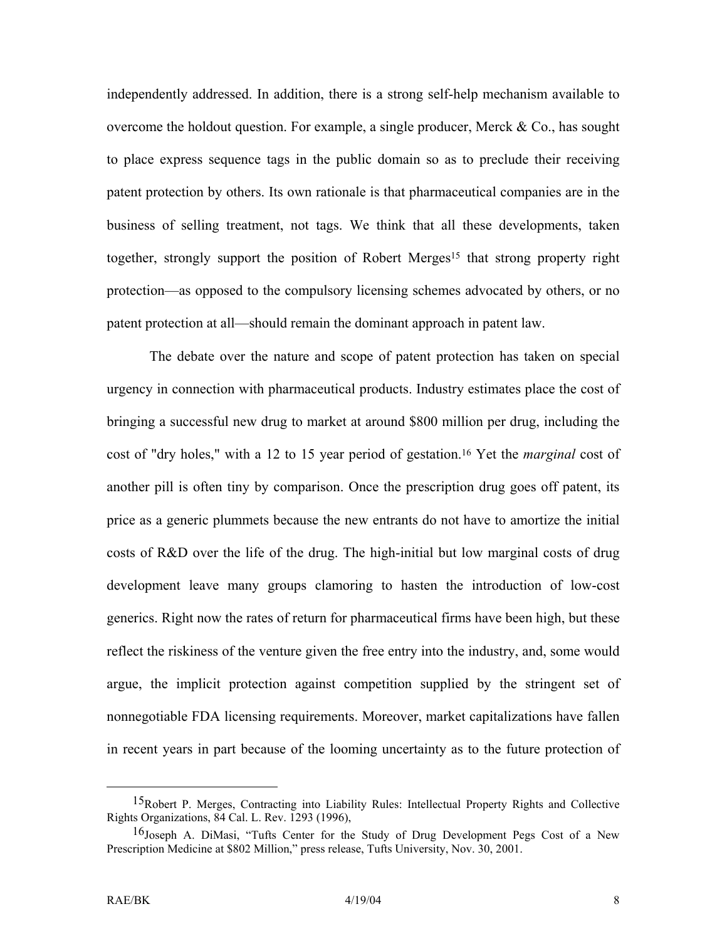independently addressed. In addition, there is a strong self-help mechanism available to overcome the holdout question. For example, a single producer, Merck  $\&$  Co., has sought to place express sequence tags in the public domain so as to preclude their receiving patent protection by others. Its own rationale is that pharmaceutical companies are in the business of selling treatment, not tags. We think that all these developments, taken together, strongly support the position of Robert Merges[15](#page-9-0) that strong property right protection—as opposed to the compulsory licensing schemes advocated by others, or no patent protection at all—should remain the dominant approach in patent law.

The debate over the nature and scope of patent protection has taken on special urgency in connection with pharmaceutical products. Industry estimates place the cost of bringing a successful new drug to market at around \$800 million per drug, including the cost of "dry holes," with a 12 to 15 year period of gestation.[16](#page-9-1) Yet the *marginal* cost of another pill is often tiny by comparison. Once the prescription drug goes off patent, its price as a generic plummets because the new entrants do not have to amortize the initial costs of R&D over the life of the drug. The high-initial but low marginal costs of drug development leave many groups clamoring to hasten the introduction of low-cost generics. Right now the rates of return for pharmaceutical firms have been high, but these reflect the riskiness of the venture given the free entry into the industry, and, some would argue, the implicit protection against competition supplied by the stringent set of nonnegotiable FDA licensing requirements. Moreover, market capitalizations have fallen in recent years in part because of the looming uncertainty as to the future protection of

<span id="page-9-0"></span><sup>&</sup>lt;sup>15</sup>Robert P. Merges, Contracting into Liability Rules: Intellectual Property Rights and Collective Rights Organizations, 84 Cal. L. Rev. 1293 (1996),

<span id="page-9-1"></span><sup>16</sup>Joseph A. DiMasi, "Tufts Center for the Study of Drug Development Pegs Cost of a New Prescription Medicine at \$802 Million," press release, Tufts University, Nov. 30, 2001.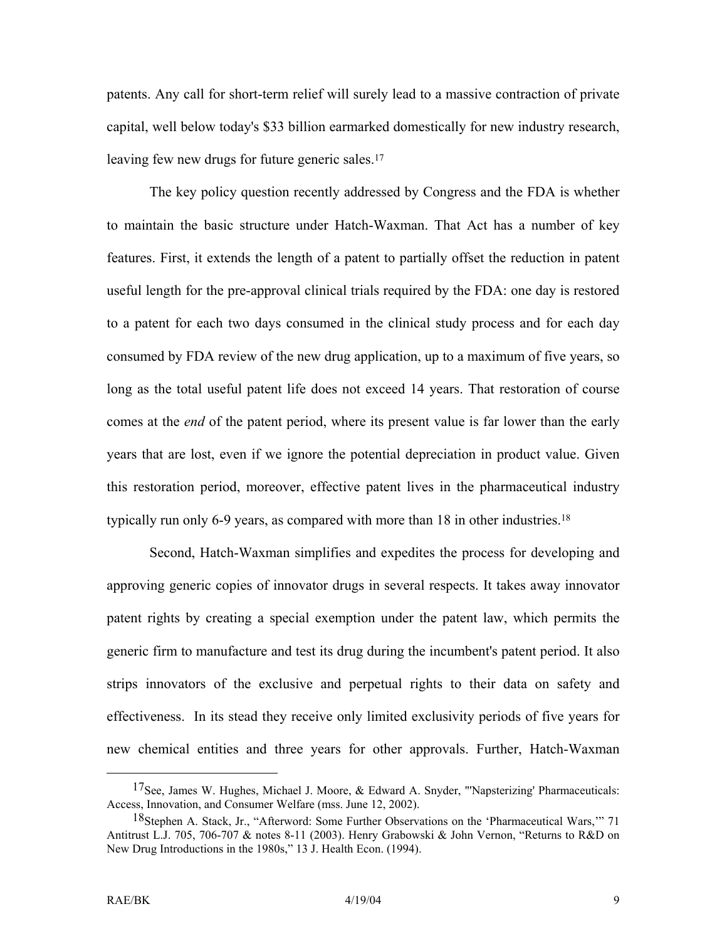patents. Any call for short-term relief will surely lead to a massive contraction of private capital, well below today's \$33 billion earmarked domestically for new industry research, leaving few new drugs for future generic sales.<sup>17</sup>

The key policy question recently addressed by Congress and the FDA is whether to maintain the basic structure under Hatch-Waxman. That Act has a number of key features. First, it extends the length of a patent to partially offset the reduction in patent useful length for the pre-approval clinical trials required by the FDA: one day is restored to a patent for each two days consumed in the clinical study process and for each day consumed by FDA review of the new drug application, up to a maximum of five years, so long as the total useful patent life does not exceed 14 years. That restoration of course comes at the *end* of the patent period, where its present value is far lower than the early years that are lost, even if we ignore the potential depreciation in product value. Given this restoration period, moreover, effective patent lives in the pharmaceutical industry typically run only 6-9 years, as compared with more than  $18$  in other industries.<sup>18</sup>

Second, Hatch-Waxman simplifies and expedites the process for developing and approving generic copies of innovator drugs in several respects. It takes away innovator patent rights by creating a special exemption under the patent law, which permits the generic firm to manufacture and test its drug during the incumbent's patent period. It also strips innovators of the exclusive and perpetual rights to their data on safety and effectiveness. In its stead they receive only limited exclusivity periods of five years for new chemical entities and three years for other approvals. Further, Hatch-Waxman

<span id="page-10-0"></span><sup>&</sup>lt;sup>17</sup>See, James W. Hughes, Michael J. Moore, & Edward A. Snyder, "'Napsterizing' Pharmaceuticals: Access, Innovation, and Consumer Welfare (mss. June 12, 2002).

<span id="page-10-1"></span><sup>18</sup>Stephen A. Stack, Jr., "Afterword: Some Further Observations on the 'Pharmaceutical Wars,'" 71 Antitrust L.J. 705, 706-707 & notes 8-11 (2003). Henry Grabowski & John Vernon, "Returns to R&D on New Drug Introductions in the 1980s," 13 J. Health Econ. (1994).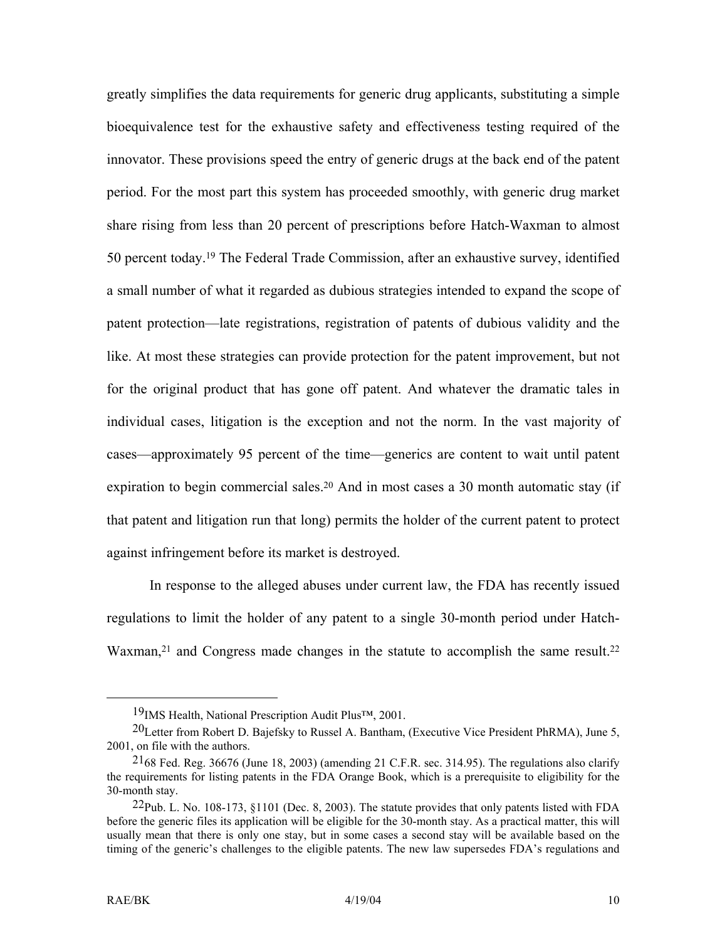<span id="page-11-3"></span>greatly simplifies the data requirements for generic drug applicants, substituting a simple bioequivalence test for the exhaustive safety and effectiveness testing required of the innovator. These provisions speed the entry of generic drugs at the back end of the patent period. For the most part this system has proceeded smoothly, with generic drug market share rising from less than 20 percent of prescriptions before Hatch-Waxman to almost 50 percent today[.19](#page-11-0) The Federal Trade Commission, after an exhaustive survey, identified a small number of what it regarded as dubious strategies intended to expand the scope of patent protection—late registrations, registration of patents of dubious validity and the like. At most these strategies can provide protection for the patent improvement, but not for the original product that has gone off patent. And whatever the dramatic tales in individual cases, litigation is the exception and not the norm. In the vast majority of cases—approximately 95 percent of the time—generics are content to wait until patent expiration to begin commercial sales.<sup>20</sup> And in most cases a 30 month automatic stay (if that patent and litigation run that long) permits the holder of the current patent to protect against infringement before its market is destroyed.

In response to the alleged abuses under current law, the FDA has recently issued regulations to limit the holder of any patent to a single 30-month period under Hatch-Waxman,<sup>21</sup> and Congress made changes in the statute to accomplish the same result.<sup>22</sup>

<span id="page-11-1"></span><span id="page-11-0"></span> <sup>19</sup>IMS Health, National Prescription Audit Plus™, 2001.

<sup>20</sup>Letter from Robert D. Bajefsky to Russel A. Bantham, (Executive Vice President PhRMA), June 5, 2001, on file with the authors.

<span id="page-11-2"></span> $^{21}$ 68 Fed. Reg. 36676 (June 18, 2003) (amending 21 C.F.R. sec. 314.95). The regulations also clarify the requirements for listing patents in the FDA Orange Book, which is a prerequisite to eligibility for the 30-month stay.

 $^{22}$ Pub. L. No. 108-173, §1101 (Dec. 8, 2003). The statute provides that only patents listed with FDA before the generic files its application will be eligible for the 30-month stay. As a practical matter, this will usually mean that there is only one stay, but in some cases a second stay will be available based on the timing of the generic's challenges to the eligible patents. The new law supersedes FDA's regulations and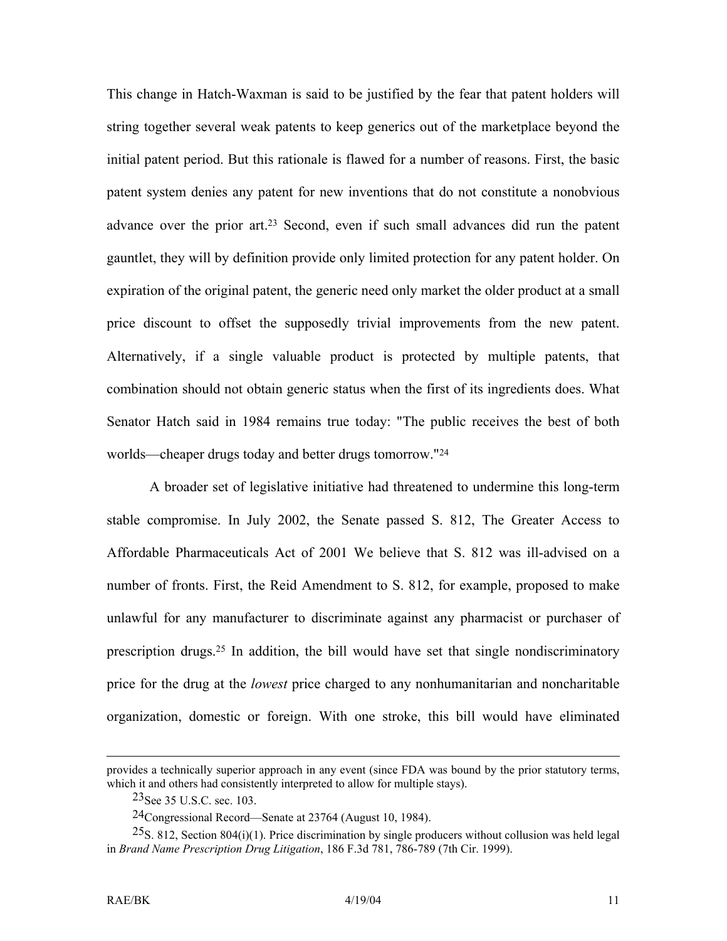This change in Hatch-Waxman is said to be justified by the fear that patent holders will string together several weak patents to keep generics out of the marketplace beyond the initial patent period. But this rationale is flawed for a number of reasons. First, the basic patent system denies any patent for new inventions that do not constitute a nonobvious advance over the prior art.[23](#page-12-0) Second, even if such small advances did run the patent gauntlet, they will by definition provide only limited protection for any patent holder. On expiration of the original patent, the generic need only market the older product at a small price discount to offset the supposedly trivial improvements from the new patent. Alternatively, if a single valuable product is protected by multiple patents, that combination should not obtain generic status when the first of its ingredients does. What Senator Hatch said in 1984 remains true today: "The public receives the best of both worlds—cheaper drugs today and better drugs tomorrow.["24](#page-12-1)

A broader set of legislative initiative had threatened to undermine this long-term stable compromise. In July 2002, the Senate passed S. 812, The Greater Access to Affordable Pharmaceuticals Act of 2001 We believe that S. 812 was ill-advised on a number of fronts. First, the Reid Amendment to S. 812, for example, proposed to make unlawful for any manufacturer to discriminate against any pharmacist or purchaser of prescription drugs.[25](#page-12-2) In addition, the bill would have set that single nondiscriminatory price for the drug at the *lowest* price charged to any nonhumanitarian and noncharitable organization, domestic or foreign. With one stroke, this bill would have eliminated

provides a technically superior approach in any event (since FDA was bound by the prior statutory terms, which it and others had consistently interpreted to allow for multiple stays).

<span id="page-12-0"></span><sup>23</sup>See 35 U.S.C. sec. 103.

<span id="page-12-2"></span><span id="page-12-1"></span><sup>24</sup>Congressional Record—Senate at 23764 (August 10, 1984).

 $^{25}$ S. 812, Section 804(i)(1). Price discrimination by single producers without collusion was held legal in *Brand Name Prescription Drug Litigation*, 186 F.3d 781, 786-789 (7th Cir. 1999).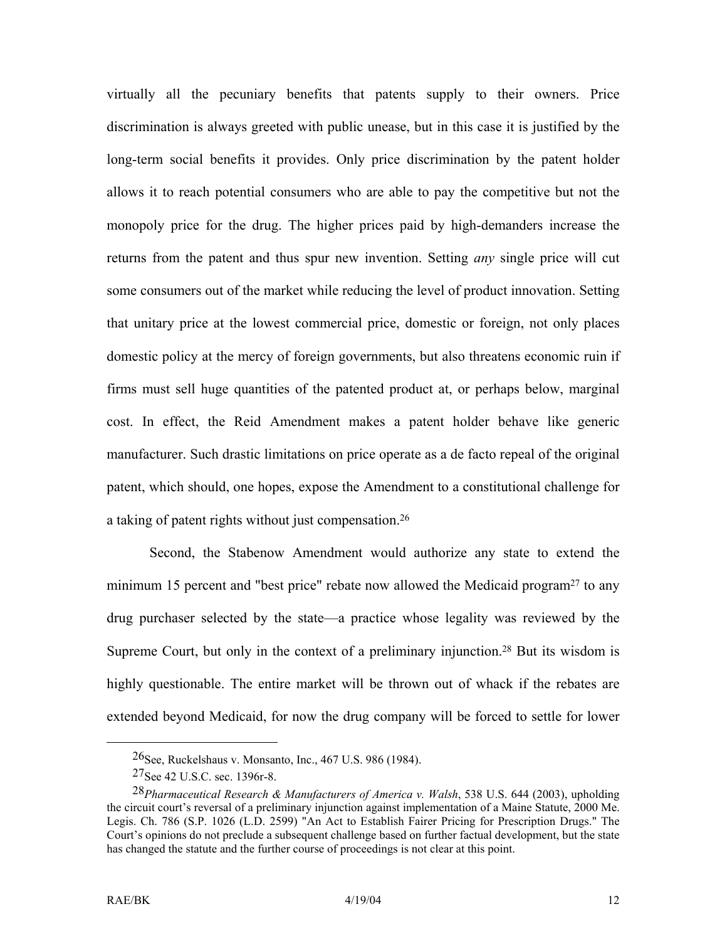virtually all the pecuniary benefits that patents supply to their owners. Price discrimination is always greeted with public unease, but in this case it is justified by the long-term social benefits it provides. Only price discrimination by the patent holder allows it to reach potential consumers who are able to pay the competitive but not the monopoly price for the drug. The higher prices paid by high-demanders increase the returns from the patent and thus spur new invention. Setting *any* single price will cut some consumers out of the market while reducing the level of product innovation. Setting that unitary price at the lowest commercial price, domestic or foreign, not only places domestic policy at the mercy of foreign governments, but also threatens economic ruin if firms must sell huge quantities of the patented product at, or perhaps below, marginal cost. In effect, the Reid Amendment makes a patent holder behave like generic manufacturer. Such drastic limitations on price operate as a de facto repeal of the original patent, which should, one hopes, expose the Amendment to a constitutional challenge for a taking of patent rights without just compensation.[26](#page-13-0)

Second, the Stabenow Amendment would authorize any state to extend the minimum 15 percent and "best price" rebate now allowed the Medicaid program<sup>27</sup> to any drug purchaser selected by the state—a practice whose legality was reviewed by the Supreme Court, but only in the context of a preliminary injunction.<sup>28</sup> But its wisdom is highly questionable. The entire market will be thrown out of whack if the rebates are extended beyond Medicaid, for now the drug company will be forced to settle for lower

<span id="page-13-0"></span> <sup>26</sup>See, Ruckelshaus v. Monsanto, Inc., 467 U.S. 986 (1984).

<span id="page-13-2"></span><span id="page-13-1"></span><sup>27</sup>See 42 U.S.C. sec. 1396r-8.

<sup>28</sup>*Pharmaceutical Research & Manufacturers of America v. Walsh*, 538 U.S. 644 (2003), upholding the circuit court's reversal of a preliminary injunction against implementation of a Maine Statute, 2000 Me. Legis. Ch. 786 (S.P. 1026 (L.D. 2599) "An Act to Establish Fairer Pricing for Prescription Drugs." The Court's opinions do not preclude a subsequent challenge based on further factual development, but the state has changed the statute and the further course of proceedings is not clear at this point.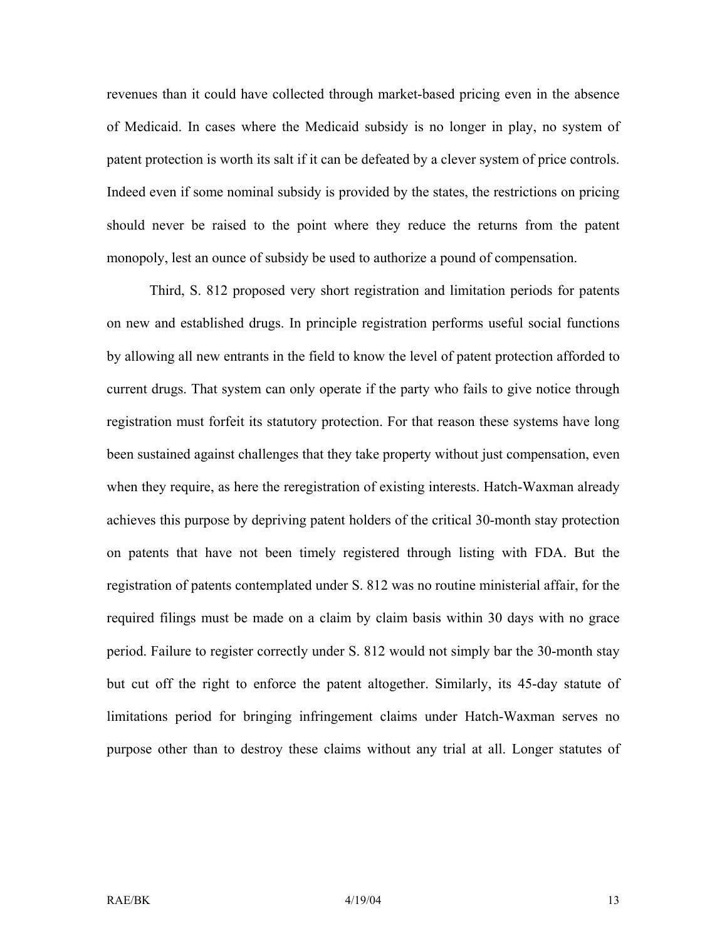revenues than it could have collected through market-based pricing even in the absence of Medicaid. In cases where the Medicaid subsidy is no longer in play, no system of patent protection is worth its salt if it can be defeated by a clever system of price controls. Indeed even if some nominal subsidy is provided by the states, the restrictions on pricing should never be raised to the point where they reduce the returns from the patent monopoly, lest an ounce of subsidy be used to authorize a pound of compensation.

Third, S. 812 proposed very short registration and limitation periods for patents on new and established drugs. In principle registration performs useful social functions by allowing all new entrants in the field to know the level of patent protection afforded to current drugs. That system can only operate if the party who fails to give notice through registration must forfeit its statutory protection. For that reason these systems have long been sustained against challenges that they take property without just compensation, even when they require, as here the reregistration of existing interests. Hatch-Waxman already achieves this purpose by depriving patent holders of the critical 30-month stay protection on patents that have not been timely registered through listing with FDA. But the registration of patents contemplated under S. 812 was no routine ministerial affair, for the required filings must be made on a claim by claim basis within 30 days with no grace period. Failure to register correctly under S. 812 would not simply bar the 30-month stay but cut off the right to enforce the patent altogether. Similarly, its 45-day statute of limitations period for bringing infringement claims under Hatch-Waxman serves no purpose other than to destroy these claims without any trial at all. Longer statutes of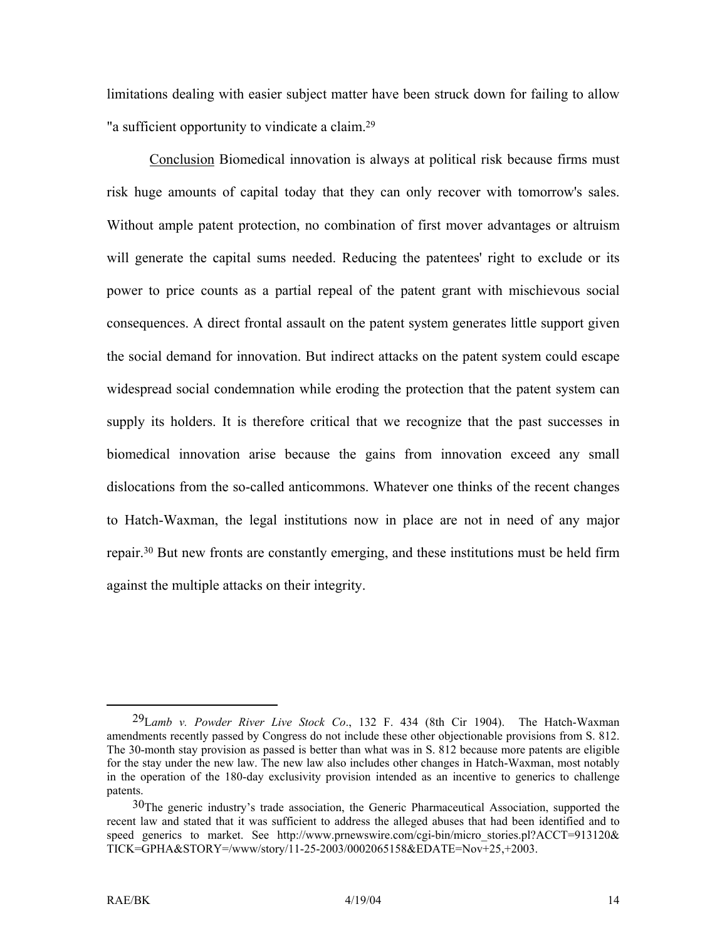limitations dealing with easier subject matter have been struck down for failing to allow "a sufficient opportunity to vindicate a claim. [29](#page-15-0) 

Conclusion Biomedical innovation is always at political risk because firms must risk huge amounts of capital today that they can only recover with tomorrow's sales. Without ample patent protection, no combination of first mover advantages or altruism will generate the capital sums needed. Reducing the patentees' right to exclude or its power to price counts as a partial repeal of the patent grant with mischievous social consequences. A direct frontal assault on the patent system generates little support given the social demand for innovation. But indirect attacks on the patent system could escape widespread social condemnation while eroding the protection that the patent system can supply its holders. It is therefore critical that we recognize that the past successes in biomedical innovation arise because the gains from innovation exceed any small dislocations from the so-called anticommons. Whatever one thinks of the recent changes to Hatch-Waxman, the legal institutions now in place are not in need of any major repair[.30](#page-15-1) But new fronts are constantly emerging, and these institutions must be held firm against the multiple attacks on their integrity.

<span id="page-15-0"></span> <sup>29</sup>L*amb v. Powder River Live Stock Co*., 132 F. 434 (8th Cir 1904). The Hatch-Waxman amendments recently passed by Congress do not include these other objectionable provisions from S. 812. The 30-month stay provision as passed is better than what was in S. 812 because more patents are eligible for the stay under the new law. The new law also includes other changes in Hatch-Waxman, most notably in the operation of the 180-day exclusivity provision intended as an incentive to generics to challenge patents.

<span id="page-15-1"></span><sup>&</sup>lt;sup>30</sup>The generic industry's trade association, the Generic Pharmaceutical Association, supported the recent law and stated that it was sufficient to address the alleged abuses that had been identified and to speed generics to market. See http://www.prnewswire.com/cgi-bin/micro\_stories.pl?ACCT=913120& TICK=GPHA&STORY=/www/story/11-25-2003/0002065158&EDATE=Nov+25,+2003.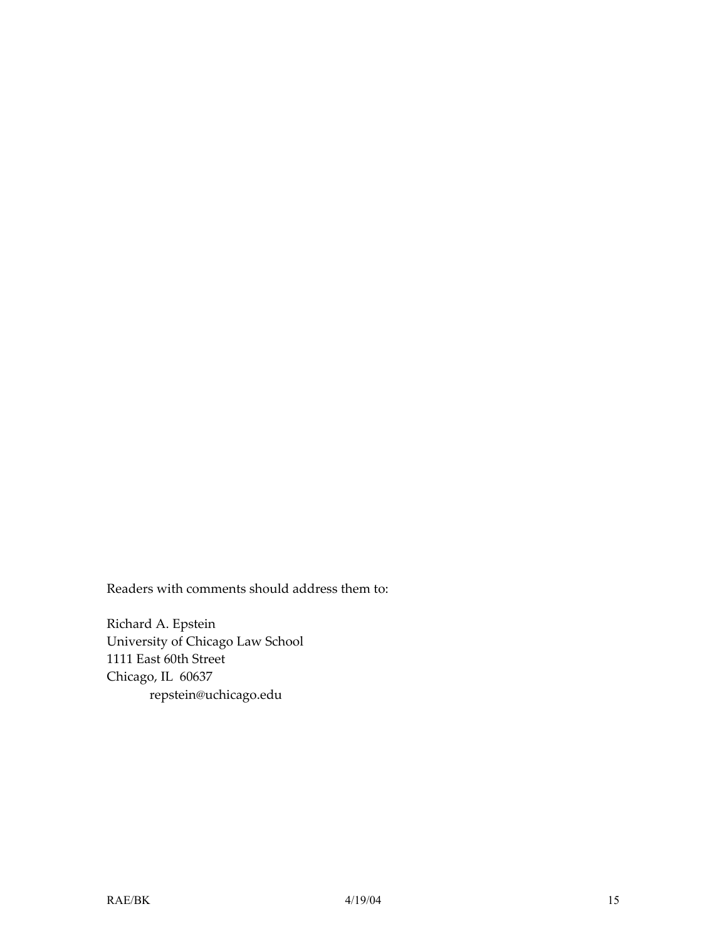Readers with comments should address them to:

Richard A. Epstein University of Chicago Law School 1111 East 60th Street Chicago, IL 60637 repstein@uchicago.edu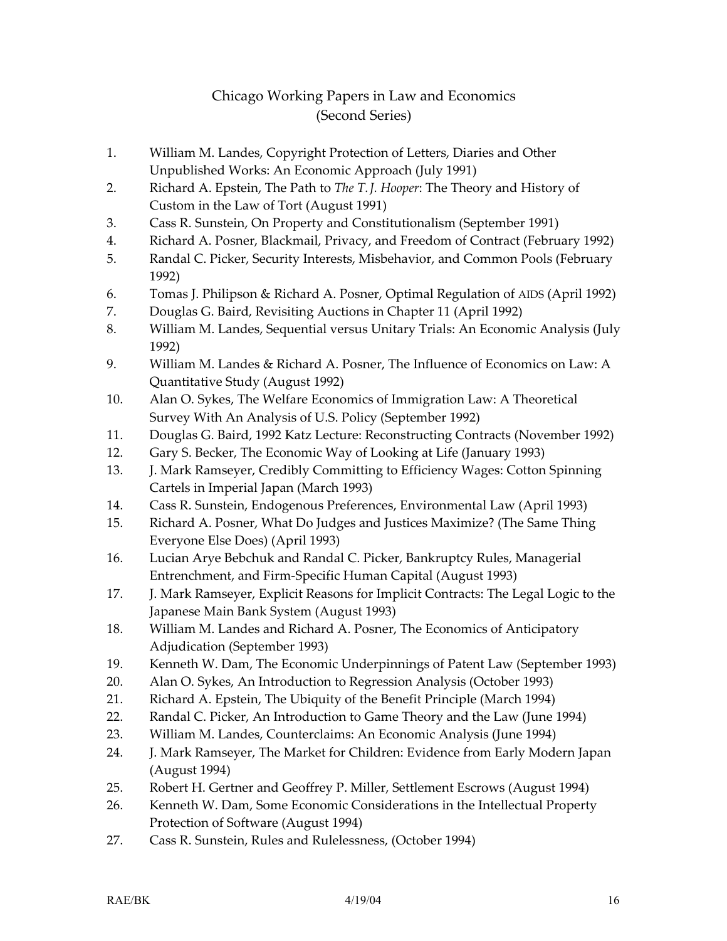#### Chicago Working Papers in Law and Economics (Second Series)

- 1. William M. Landes, Copyright Protection of Letters, Diaries and Other Unpublished Works: An Economic Approach (July 1991)
- 2. Richard A. Epstein, The Path to *The T. J. Hooper*: The Theory and History of Custom in the Law of Tort (August 1991)
- 3. Cass R. Sunstein, On Property and Constitutionalism (September 1991)
- 4. Richard A. Posner, Blackmail, Privacy, and Freedom of Contract (February 1992)
- 5. Randal C. Picker, Security Interests, Misbehavior, and Common Pools (February 1992)
- 6. Tomas J. Philipson & Richard A. Posner, Optimal Regulation of AIDS (April 1992)
- 7. Douglas G. Baird, Revisiting Auctions in Chapter 11 (April 1992)
- 8. William M. Landes, Sequential versus Unitary Trials: An Economic Analysis (July 1992)
- 9. William M. Landes & Richard A. Posner, The Influence of Economics on Law: A Quantitative Study (August 1992)
- 10. Alan O. Sykes, The Welfare Economics of Immigration Law: A Theoretical Survey With An Analysis of U.S. Policy (September 1992)
- 11. Douglas G. Baird, 1992 Katz Lecture: Reconstructing Contracts (November 1992)
- 12. Gary S. Becker, The Economic Way of Looking at Life (January 1993)
- 13. J. Mark Ramseyer, Credibly Committing to Efficiency Wages: Cotton Spinning Cartels in Imperial Japan (March 1993)
- 14. Cass R. Sunstein, Endogenous Preferences, Environmental Law (April 1993)
- 15. Richard A. Posner, What Do Judges and Justices Maximize? (The Same Thing Everyone Else Does) (April 1993)
- 16. Lucian Arye Bebchuk and Randal C. Picker, Bankruptcy Rules, Managerial Entrenchment, and Firm-Specific Human Capital (August 1993)
- 17. J. Mark Ramseyer, Explicit Reasons for Implicit Contracts: The Legal Logic to the Japanese Main Bank System (August 1993)
- 18. William M. Landes and Richard A. Posner, The Economics of Anticipatory Adjudication (September 1993)
- 19. Kenneth W. Dam, The Economic Underpinnings of Patent Law (September 1993)
- 20. Alan O. Sykes, An Introduction to Regression Analysis (October 1993)
- 21. Richard A. Epstein, The Ubiquity of the Benefit Principle (March 1994)
- 22. Randal C. Picker, An Introduction to Game Theory and the Law (June 1994)
- 23. William M. Landes, Counterclaims: An Economic Analysis (June 1994)
- 24. J. Mark Ramseyer, The Market for Children: Evidence from Early Modern Japan (August 1994)
- 25. Robert H. Gertner and Geoffrey P. Miller, Settlement Escrows (August 1994)
- 26. Kenneth W. Dam, Some Economic Considerations in the Intellectual Property Protection of Software (August 1994)
- 27. Cass R. Sunstein, Rules and Rulelessness, (October 1994)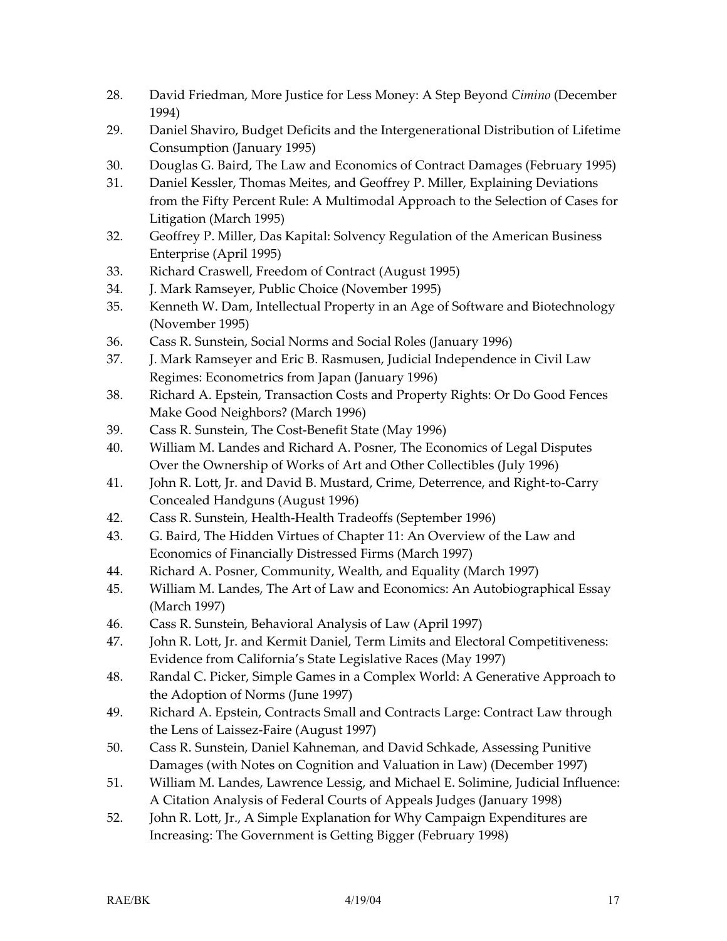- 28. David Friedman, More Justice for Less Money: A Step Beyond *Cimino* (December 1994)
- 29. Daniel Shaviro, Budget Deficits and the Intergenerational Distribution of Lifetime Consumption (January 1995)
- 30. Douglas G. Baird, The Law and Economics of Contract Damages (February 1995)
- 31. Daniel Kessler, Thomas Meites, and Geoffrey P. Miller, Explaining Deviations from the Fifty Percent Rule: A Multimodal Approach to the Selection of Cases for Litigation (March 1995)
- 32. Geoffrey P. Miller, Das Kapital: Solvency Regulation of the American Business Enterprise (April 1995)
- 33. Richard Craswell, Freedom of Contract (August 1995)
- 34. J. Mark Ramseyer, Public Choice (November 1995)
- 35. Kenneth W. Dam, Intellectual Property in an Age of Software and Biotechnology (November 1995)
- 36. Cass R. Sunstein, Social Norms and Social Roles (January 1996)
- 37. J. Mark Ramseyer and Eric B. Rasmusen, Judicial Independence in Civil Law Regimes: Econometrics from Japan (January 1996)
- 38. Richard A. Epstein, Transaction Costs and Property Rights: Or Do Good Fences Make Good Neighbors? (March 1996)
- 39. Cass R. Sunstein, The Cost-Benefit State (May 1996)
- 40. William M. Landes and Richard A. Posner, The Economics of Legal Disputes Over the Ownership of Works of Art and Other Collectibles (July 1996)
- 41. John R. Lott, Jr. and David B. Mustard, Crime, Deterrence, and Right-to-Carry Concealed Handguns (August 1996)
- 42. Cass R. Sunstein, Health-Health Tradeoffs (September 1996)
- 43. G. Baird, The Hidden Virtues of Chapter 11: An Overview of the Law and Economics of Financially Distressed Firms (March 1997)
- 44. Richard A. Posner, Community, Wealth, and Equality (March 1997)
- 45. William M. Landes, The Art of Law and Economics: An Autobiographical Essay (March 1997)
- 46. Cass R. Sunstein, Behavioral Analysis of Law (April 1997)
- 47. John R. Lott, Jr. and Kermit Daniel, Term Limits and Electoral Competitiveness: Evidence from California's State Legislative Races (May 1997)
- 48. Randal C. Picker, Simple Games in a Complex World: A Generative Approach to the Adoption of Norms (June 1997)
- 49. Richard A. Epstein, Contracts Small and Contracts Large: Contract Law through the Lens of Laissez-Faire (August 1997)
- 50. Cass R. Sunstein, Daniel Kahneman, and David Schkade, Assessing Punitive Damages (with Notes on Cognition and Valuation in Law) (December 1997)
- 51. William M. Landes, Lawrence Lessig, and Michael E. Solimine, Judicial Influence: A Citation Analysis of Federal Courts of Appeals Judges (January 1998)
- 52. John R. Lott, Jr., A Simple Explanation for Why Campaign Expenditures are Increasing: The Government is Getting Bigger (February 1998)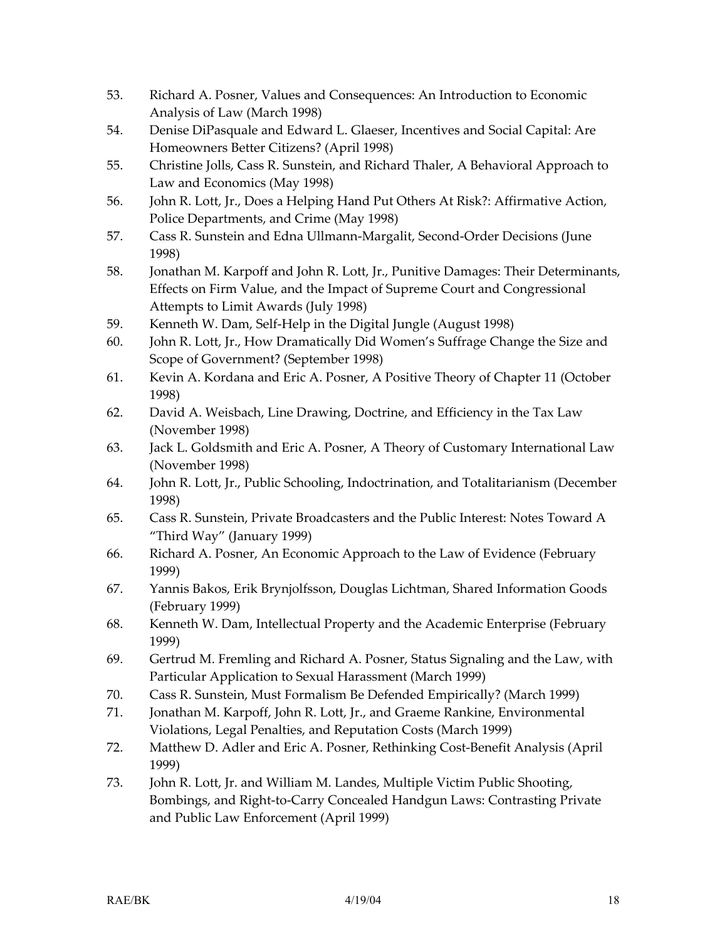- 53. Richard A. Posner, Values and Consequences: An Introduction to Economic Analysis of Law (March 1998)
- 54. Denise DiPasquale and Edward L. Glaeser, Incentives and Social Capital: Are Homeowners Better Citizens? (April 1998)
- 55. Christine Jolls, Cass R. Sunstein, and Richard Thaler, A Behavioral Approach to Law and Economics (May 1998)
- 56. John R. Lott, Jr., Does a Helping Hand Put Others At Risk?: Affirmative Action, Police Departments, and Crime (May 1998)
- 57. Cass R. Sunstein and Edna Ullmann-Margalit, Second-Order Decisions (June 1998)
- 58. Jonathan M. Karpoff and John R. Lott, Jr., Punitive Damages: Their Determinants, Effects on Firm Value, and the Impact of Supreme Court and Congressional Attempts to Limit Awards (July 1998)
- 59. Kenneth W. Dam, Self-Help in the Digital Jungle (August 1998)
- 60. John R. Lott, Jr., How Dramatically Did Women's Suffrage Change the Size and Scope of Government? (September 1998)
- 61. Kevin A. Kordana and Eric A. Posner, A Positive Theory of Chapter 11 (October 1998)
- 62. David A. Weisbach, Line Drawing, Doctrine, and Efficiency in the Tax Law (November 1998)
- 63. Jack L. Goldsmith and Eric A. Posner, A Theory of Customary International Law (November 1998)
- 64. John R. Lott, Jr., Public Schooling, Indoctrination, and Totalitarianism (December 1998)
- 65. Cass R. Sunstein, Private Broadcasters and the Public Interest: Notes Toward A "Third Way" (January 1999)
- 66. Richard A. Posner, An Economic Approach to the Law of Evidence (February 1999)
- 67. Yannis Bakos, Erik Brynjolfsson, Douglas Lichtman, Shared Information Goods (February 1999)
- 68. Kenneth W. Dam, Intellectual Property and the Academic Enterprise (February 1999)
- 69. Gertrud M. Fremling and Richard A. Posner, Status Signaling and the Law, with Particular Application to Sexual Harassment (March 1999)
- 70. Cass R. Sunstein, Must Formalism Be Defended Empirically? (March 1999)
- 71. Jonathan M. Karpoff, John R. Lott, Jr., and Graeme Rankine, Environmental Violations, Legal Penalties, and Reputation Costs (March 1999)
- 72. Matthew D. Adler and Eric A. Posner, Rethinking Cost-Benefit Analysis (April 1999)
- 73. John R. Lott, Jr. and William M. Landes, Multiple Victim Public Shooting, Bombings, and Right-to-Carry Concealed Handgun Laws: Contrasting Private and Public Law Enforcement (April 1999)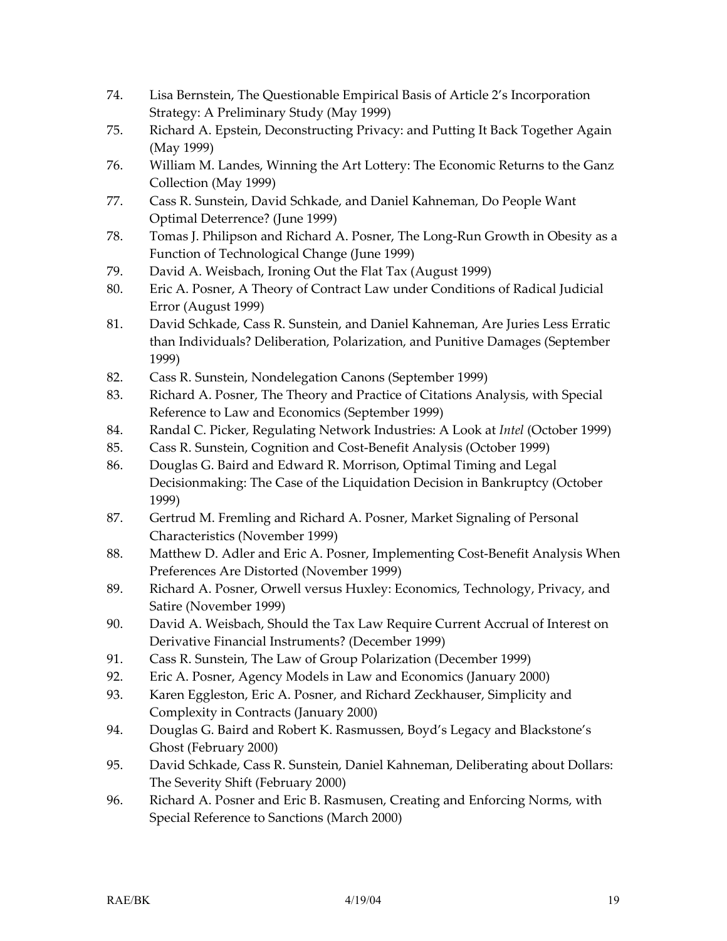- 74. Lisa Bernstein, The Questionable Empirical Basis of Article 2's Incorporation Strategy: A Preliminary Study (May 1999)
- 75. Richard A. Epstein, Deconstructing Privacy: and Putting It Back Together Again (May 1999)
- 76. William M. Landes, Winning the Art Lottery: The Economic Returns to the Ganz Collection (May 1999)
- 77. Cass R. Sunstein, David Schkade, and Daniel Kahneman, Do People Want Optimal Deterrence? (June 1999)
- 78. Tomas J. Philipson and Richard A. Posner, The Long-Run Growth in Obesity as a Function of Technological Change (June 1999)
- 79. David A. Weisbach, Ironing Out the Flat Tax (August 1999)
- 80. Eric A. Posner, A Theory of Contract Law under Conditions of Radical Judicial Error (August 1999)
- 81. David Schkade, Cass R. Sunstein, and Daniel Kahneman, Are Juries Less Erratic than Individuals? Deliberation, Polarization, and Punitive Damages (September 1999)
- 82. Cass R. Sunstein, Nondelegation Canons (September 1999)
- 83. Richard A. Posner, The Theory and Practice of Citations Analysis, with Special Reference to Law and Economics (September 1999)
- 84. Randal C. Picker, Regulating Network Industries: A Look at *Intel* (October 1999)
- 85. Cass R. Sunstein, Cognition and Cost-Benefit Analysis (October 1999)
- 86. Douglas G. Baird and Edward R. Morrison, Optimal Timing and Legal Decisionmaking: The Case of the Liquidation Decision in Bankruptcy (October 1999)
- 87. Gertrud M. Fremling and Richard A. Posner, Market Signaling of Personal Characteristics (November 1999)
- 88. Matthew D. Adler and Eric A. Posner, Implementing Cost-Benefit Analysis When Preferences Are Distorted (November 1999)
- 89. Richard A. Posner, Orwell versus Huxley: Economics, Technology, Privacy, and Satire (November 1999)
- 90. David A. Weisbach, Should the Tax Law Require Current Accrual of Interest on Derivative Financial Instruments? (December 1999)
- 91. Cass R. Sunstein, The Law of Group Polarization (December 1999)
- 92. Eric A. Posner, Agency Models in Law and Economics (January 2000)
- 93. Karen Eggleston, Eric A. Posner, and Richard Zeckhauser, Simplicity and Complexity in Contracts (January 2000)
- 94. Douglas G. Baird and Robert K. Rasmussen, Boyd's Legacy and Blackstone's Ghost (February 2000)
- 95. David Schkade, Cass R. Sunstein, Daniel Kahneman, Deliberating about Dollars: The Severity Shift (February 2000)
- 96. Richard A. Posner and Eric B. Rasmusen, Creating and Enforcing Norms, with Special Reference to Sanctions (March 2000)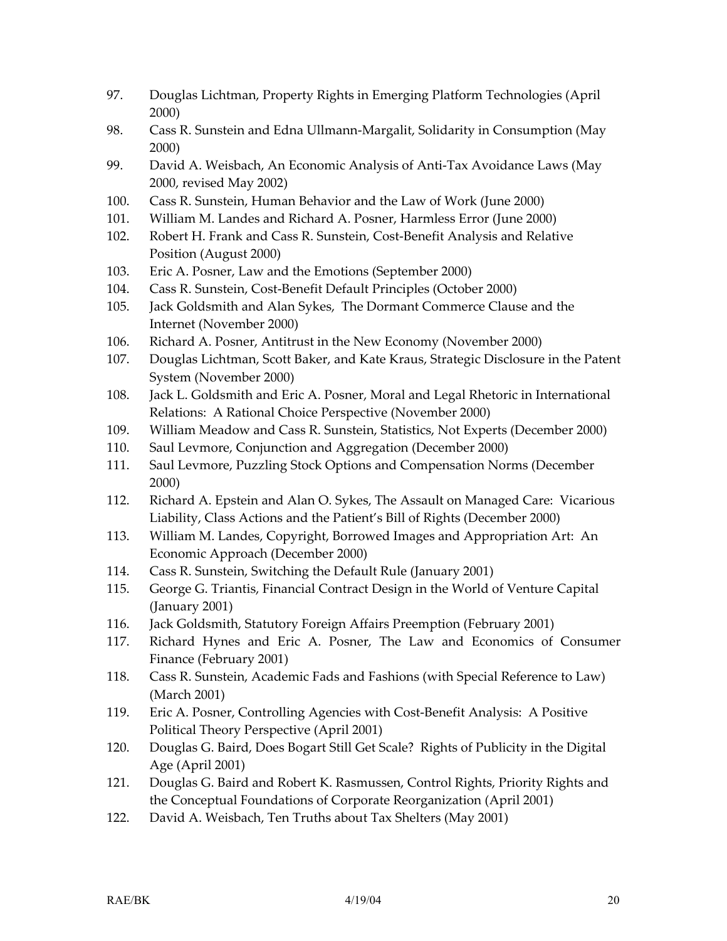- 97. Douglas Lichtman, Property Rights in Emerging Platform Technologies (April 2000)
- 98. Cass R. Sunstein and Edna Ullmann-Margalit, Solidarity in Consumption (May 2000)
- 99. David A. Weisbach, An Economic Analysis of Anti-Tax Avoidance Laws (May 2000, revised May 2002)
- 100. Cass R. Sunstein, Human Behavior and the Law of Work (June 2000)
- 101. William M. Landes and Richard A. Posner, Harmless Error (June 2000)
- 102. Robert H. Frank and Cass R. Sunstein, Cost-Benefit Analysis and Relative Position (August 2000)
- 103. Eric A. Posner, Law and the Emotions (September 2000)
- 104. Cass R. Sunstein, Cost-Benefit Default Principles (October 2000)
- 105. Jack Goldsmith and Alan Sykes, The Dormant Commerce Clause and the Internet (November 2000)
- 106. Richard A. Posner, Antitrust in the New Economy (November 2000)
- 107. Douglas Lichtman, Scott Baker, and Kate Kraus, Strategic Disclosure in the Patent System (November 2000)
- 108. Jack L. Goldsmith and Eric A. Posner, Moral and Legal Rhetoric in International Relations: A Rational Choice Perspective (November 2000)
- 109. William Meadow and Cass R. Sunstein, Statistics, Not Experts (December 2000)
- 110. Saul Levmore, Conjunction and Aggregation (December 2000)
- 111. Saul Levmore, Puzzling Stock Options and Compensation Norms (December 2000)
- 112. Richard A. Epstein and Alan O. Sykes, The Assault on Managed Care: Vicarious Liability, Class Actions and the Patient's Bill of Rights (December 2000)
- 113. William M. Landes, Copyright, Borrowed Images and Appropriation Art: An Economic Approach (December 2000)
- 114. Cass R. Sunstein, Switching the Default Rule (January 2001)
- 115. George G. Triantis, Financial Contract Design in the World of Venture Capital (January 2001)
- 116. Jack Goldsmith, Statutory Foreign Affairs Preemption (February 2001)
- 117. Richard Hynes and Eric A. Posner, The Law and Economics of Consumer Finance (February 2001)
- 118. Cass R. Sunstein, Academic Fads and Fashions (with Special Reference to Law) (March 2001)
- 119. Eric A. Posner, Controlling Agencies with Cost-Benefit Analysis: A Positive Political Theory Perspective (April 2001)
- 120. Douglas G. Baird, Does Bogart Still Get Scale? Rights of Publicity in the Digital Age (April 2001)
- 121. Douglas G. Baird and Robert K. Rasmussen, Control Rights, Priority Rights and the Conceptual Foundations of Corporate Reorganization (April 2001)
- 122. David A. Weisbach, Ten Truths about Tax Shelters (May 2001)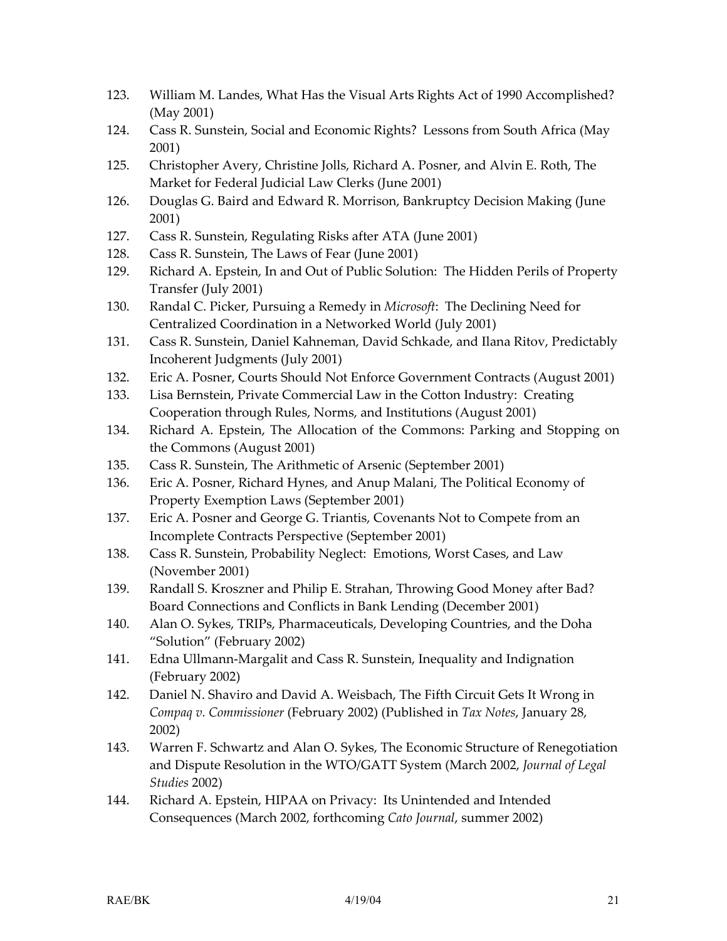- 123. William M. Landes, What Has the Visual Arts Rights Act of 1990 Accomplished? (May 2001)
- 124. Cass R. Sunstein, Social and Economic Rights? Lessons from South Africa (May 2001)
- 125. Christopher Avery, Christine Jolls, Richard A. Posner, and Alvin E. Roth, The Market for Federal Judicial Law Clerks (June 2001)
- 126. Douglas G. Baird and Edward R. Morrison, Bankruptcy Decision Making (June 2001)
- 127. Cass R. Sunstein, Regulating Risks after ATA (June 2001)
- 128. Cass R. Sunstein, The Laws of Fear (June 2001)
- 129. Richard A. Epstein, In and Out of Public Solution: The Hidden Perils of Property Transfer (July 2001)
- 130. Randal C. Picker, Pursuing a Remedy in *Microsoft*: The Declining Need for Centralized Coordination in a Networked World (July 2001)
- 131. Cass R. Sunstein, Daniel Kahneman, David Schkade, and Ilana Ritov, Predictably Incoherent Judgments (July 2001)
- 132. Eric A. Posner, Courts Should Not Enforce Government Contracts (August 2001)
- 133. Lisa Bernstein, Private Commercial Law in the Cotton Industry: Creating Cooperation through Rules, Norms, and Institutions (August 2001)
- 134. Richard A. Epstein, The Allocation of the Commons: Parking and Stopping on the Commons (August 2001)
- 135. Cass R. Sunstein, The Arithmetic of Arsenic (September 2001)
- 136. Eric A. Posner, Richard Hynes, and Anup Malani, The Political Economy of Property Exemption Laws (September 2001)
- 137. Eric A. Posner and George G. Triantis, Covenants Not to Compete from an Incomplete Contracts Perspective (September 2001)
- 138. Cass R. Sunstein, Probability Neglect: Emotions, Worst Cases, and Law (November 2001)
- 139. Randall S. Kroszner and Philip E. Strahan, Throwing Good Money after Bad? Board Connections and Conflicts in Bank Lending (December 2001)
- 140. Alan O. Sykes, TRIPs, Pharmaceuticals, Developing Countries, and the Doha "Solution" (February 2002)
- 141. Edna Ullmann-Margalit and Cass R. Sunstein, Inequality and Indignation (February 2002)
- 142. Daniel N. Shaviro and David A. Weisbach, The Fifth Circuit Gets It Wrong in *Compaq v. Commissioner* (February 2002) (Published in *Tax Notes*, January 28, 2002)
- 143. Warren F. Schwartz and Alan O. Sykes, The Economic Structure of Renegotiation and Dispute Resolution in the WTO/GATT System (March 2002, *Journal of Legal Studies* 2002)
- 144. Richard A. Epstein, HIPAA on Privacy: Its Unintended and Intended Consequences (March 2002, forthcoming *Cato Journal*, summer 2002)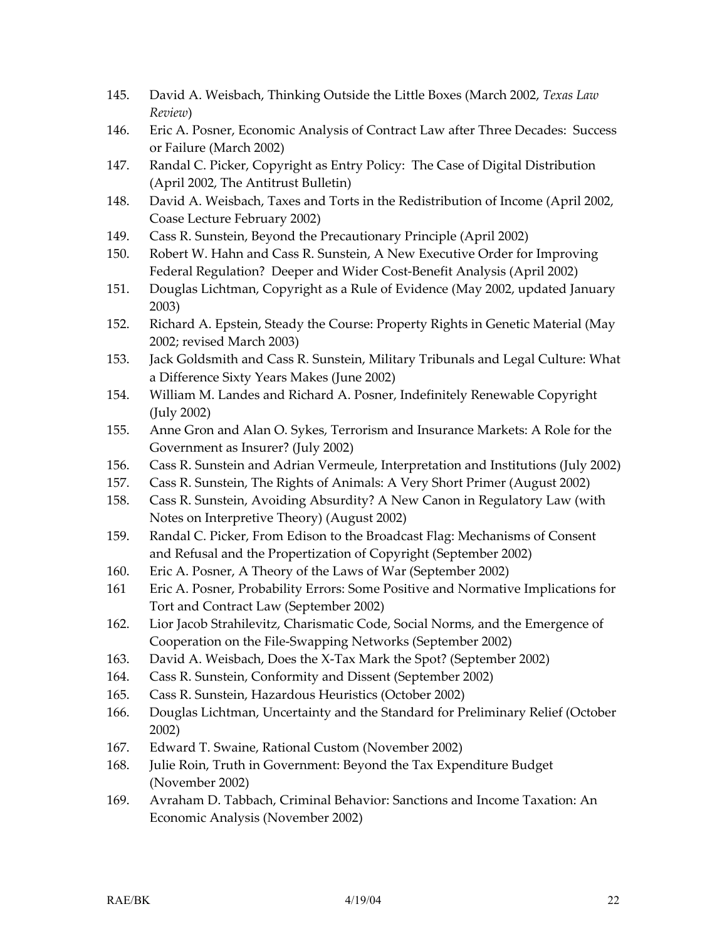- 145. David A. Weisbach, Thinking Outside the Little Boxes (March 2002, *Texas Law Review*)
- 146. Eric A. Posner, Economic Analysis of Contract Law after Three Decades: Success or Failure (March 2002)
- 147. Randal C. Picker, Copyright as Entry Policy: The Case of Digital Distribution (April 2002, The Antitrust Bulletin)
- 148. David A. Weisbach, Taxes and Torts in the Redistribution of Income (April 2002, Coase Lecture February 2002)
- 149. Cass R. Sunstein, Beyond the Precautionary Principle (April 2002)
- 150. Robert W. Hahn and Cass R. Sunstein, A New Executive Order for Improving Federal Regulation? Deeper and Wider Cost-Benefit Analysis (April 2002)
- 151. Douglas Lichtman, Copyright as a Rule of Evidence (May 2002, updated January 2003)
- 152. Richard A. Epstein, Steady the Course: Property Rights in Genetic Material (May 2002; revised March 2003)
- 153. Jack Goldsmith and Cass R. Sunstein, Military Tribunals and Legal Culture: What a Difference Sixty Years Makes (June 2002)
- 154. William M. Landes and Richard A. Posner, Indefinitely Renewable Copyright (July 2002)
- 155. Anne Gron and Alan O. Sykes, Terrorism and Insurance Markets: A Role for the Government as Insurer? (July 2002)
- 156. Cass R. Sunstein and Adrian Vermeule, Interpretation and Institutions (July 2002)
- 157. Cass R. Sunstein, The Rights of Animals: A Very Short Primer (August 2002)
- 158. Cass R. Sunstein, Avoiding Absurdity? A New Canon in Regulatory Law (with Notes on Interpretive Theory) (August 2002)
- 159. Randal C. Picker, From Edison to the Broadcast Flag: Mechanisms of Consent and Refusal and the Propertization of Copyright (September 2002)
- 160. Eric A. Posner, A Theory of the Laws of War (September 2002)
- 161 Eric A. Posner, Probability Errors: Some Positive and Normative Implications for Tort and Contract Law (September 2002)
- 162. Lior Jacob Strahilevitz, Charismatic Code, Social Norms, and the Emergence of Cooperation on the File-Swapping Networks (September 2002)
- 163. David A. Weisbach, Does the X-Tax Mark the Spot? (September 2002)
- 164. Cass R. Sunstein, Conformity and Dissent (September 2002)
- 165. Cass R. Sunstein, Hazardous Heuristics (October 2002)
- 166. Douglas Lichtman, Uncertainty and the Standard for Preliminary Relief (October 2002)
- 167. Edward T. Swaine, Rational Custom (November 2002)
- 168. Julie Roin, Truth in Government: Beyond the Tax Expenditure Budget (November 2002)
- 169. Avraham D. Tabbach, Criminal Behavior: Sanctions and Income Taxation: An Economic Analysis (November 2002)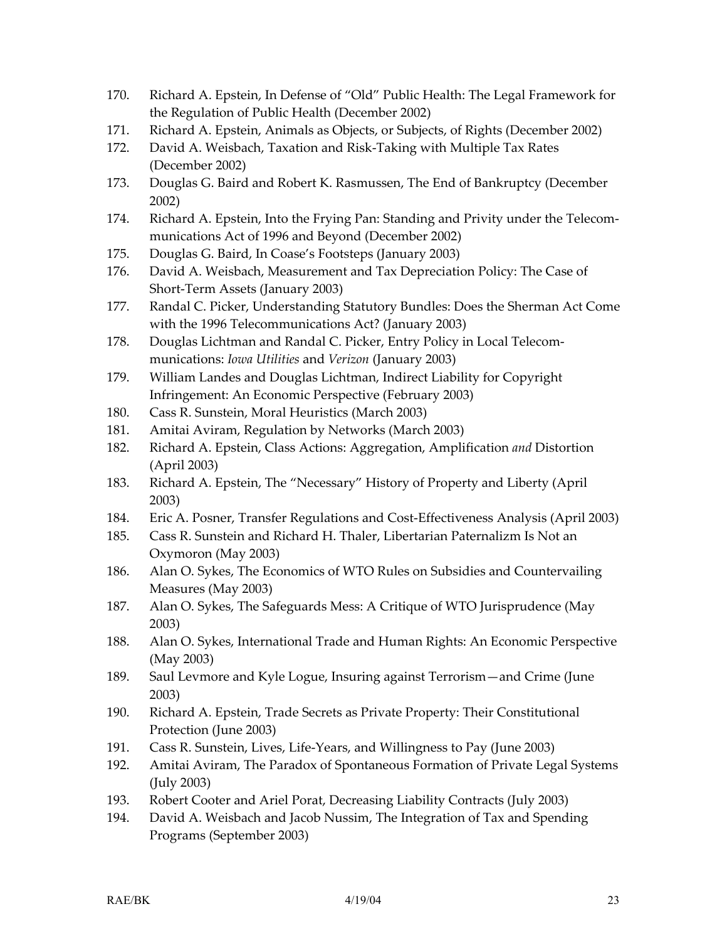- 170. Richard A. Epstein, In Defense of "Old" Public Health: The Legal Framework for the Regulation of Public Health (December 2002)
- 171. Richard A. Epstein, Animals as Objects, or Subjects, of Rights (December 2002)
- 172. David A. Weisbach, Taxation and Risk-Taking with Multiple Tax Rates (December 2002)
- 173. Douglas G. Baird and Robert K. Rasmussen, The End of Bankruptcy (December 2002)
- 174. Richard A. Epstein, Into the Frying Pan: Standing and Privity under the Telecommunications Act of 1996 and Beyond (December 2002)
- 175. Douglas G. Baird, In Coase's Footsteps (January 2003)
- 176. David A. Weisbach, Measurement and Tax Depreciation Policy: The Case of Short-Term Assets (January 2003)
- 177. Randal C. Picker, Understanding Statutory Bundles: Does the Sherman Act Come with the 1996 Telecommunications Act? (January 2003)
- 178. Douglas Lichtman and Randal C. Picker, Entry Policy in Local Telecommunications: *Iowa Utilities* and *Verizon* (January 2003)
- 179. William Landes and Douglas Lichtman, Indirect Liability for Copyright Infringement: An Economic Perspective (February 2003)
- 180. Cass R. Sunstein, Moral Heuristics (March 2003)
- 181. Amitai Aviram, Regulation by Networks (March 2003)
- 182. Richard A. Epstein, Class Actions: Aggregation, Amplification *and* Distortion (April 2003)
- 183. Richard A. Epstein, The "Necessary" History of Property and Liberty (April 2003)
- 184. Eric A. Posner, Transfer Regulations and Cost-Effectiveness Analysis (April 2003)
- 185. Cass R. Sunstein and Richard H. Thaler, Libertarian Paternalizm Is Not an Oxymoron (May 2003)
- 186. Alan O. Sykes, The Economics of WTO Rules on Subsidies and Countervailing Measures (May 2003)
- 187. Alan O. Sykes, The Safeguards Mess: A Critique of WTO Jurisprudence (May 2003)
- 188. Alan O. Sykes, International Trade and Human Rights: An Economic Perspective (May 2003)
- 189. Saul Levmore and Kyle Logue, Insuring against Terrorism—and Crime (June 2003)
- 190. Richard A. Epstein, Trade Secrets as Private Property: Their Constitutional Protection (June 2003)
- 191. Cass R. Sunstein, Lives, Life-Years, and Willingness to Pay (June 2003)
- 192. Amitai Aviram, The Paradox of Spontaneous Formation of Private Legal Systems (July 2003)
- 193. Robert Cooter and Ariel Porat, Decreasing Liability Contracts (July 2003)
- 194. David A. Weisbach and Jacob Nussim, The Integration of Tax and Spending Programs (September 2003)